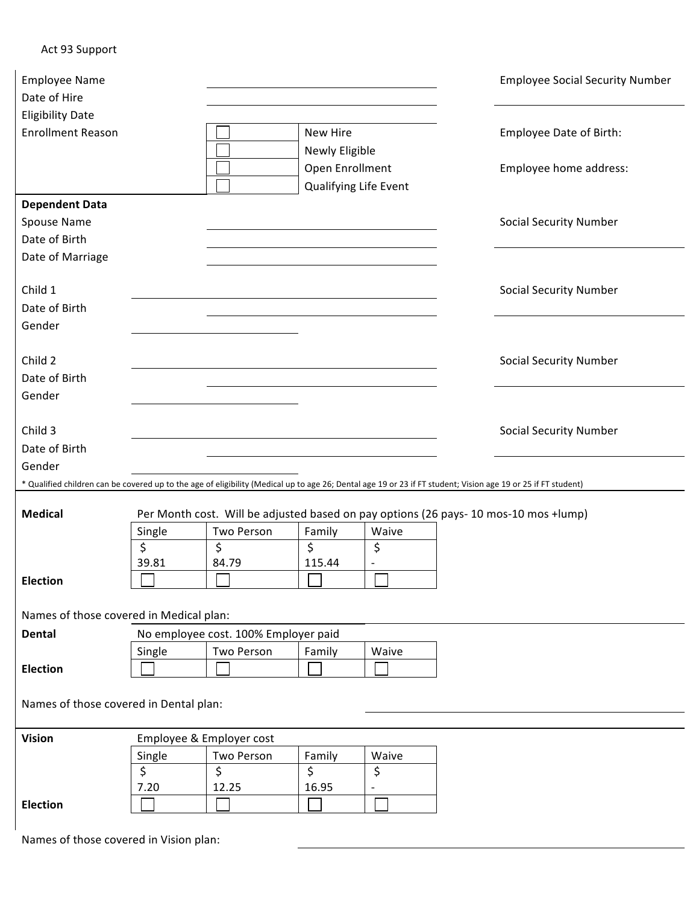## Act 93 Support

| <b>Employee Name</b><br>Date of Hire                                                                                                                          |                                                                                      |                                      |                                          |                          |  | <b>Employee Social Security Number</b> |  |  |  |  |  |
|---------------------------------------------------------------------------------------------------------------------------------------------------------------|--------------------------------------------------------------------------------------|--------------------------------------|------------------------------------------|--------------------------|--|----------------------------------------|--|--|--|--|--|
| <b>Eligibility Date</b><br><b>Enrollment Reason</b>                                                                                                           | New Hire<br>Newly Eligible                                                           |                                      |                                          |                          |  | Employee Date of Birth:                |  |  |  |  |  |
|                                                                                                                                                               |                                                                                      |                                      | Open Enrollment<br>Qualifying Life Event |                          |  | Employee home address:                 |  |  |  |  |  |
| <b>Dependent Data</b>                                                                                                                                         |                                                                                      |                                      |                                          |                          |  |                                        |  |  |  |  |  |
| Spouse Name                                                                                                                                                   |                                                                                      |                                      |                                          |                          |  | <b>Social Security Number</b>          |  |  |  |  |  |
| Date of Birth                                                                                                                                                 |                                                                                      |                                      |                                          |                          |  |                                        |  |  |  |  |  |
| Date of Marriage                                                                                                                                              |                                                                                      |                                      |                                          |                          |  |                                        |  |  |  |  |  |
| Child 1<br>Date of Birth                                                                                                                                      |                                                                                      |                                      |                                          |                          |  | <b>Social Security Number</b>          |  |  |  |  |  |
| Gender                                                                                                                                                        |                                                                                      |                                      |                                          |                          |  |                                        |  |  |  |  |  |
| Child 2                                                                                                                                                       |                                                                                      |                                      |                                          |                          |  | <b>Social Security Number</b>          |  |  |  |  |  |
| Date of Birth                                                                                                                                                 |                                                                                      |                                      |                                          |                          |  |                                        |  |  |  |  |  |
| Gender                                                                                                                                                        |                                                                                      |                                      |                                          |                          |  |                                        |  |  |  |  |  |
|                                                                                                                                                               |                                                                                      |                                      |                                          |                          |  |                                        |  |  |  |  |  |
| Child 3                                                                                                                                                       |                                                                                      |                                      |                                          |                          |  | <b>Social Security Number</b>          |  |  |  |  |  |
| Date of Birth                                                                                                                                                 |                                                                                      |                                      |                                          |                          |  |                                        |  |  |  |  |  |
| Gender                                                                                                                                                        |                                                                                      |                                      |                                          |                          |  |                                        |  |  |  |  |  |
| * Qualified children can be covered up to the age of eligibility (Medical up to age 26; Dental age 19 or 23 if FT student; Vision age 19 or 25 if FT student) |                                                                                      |                                      |                                          |                          |  |                                        |  |  |  |  |  |
| <b>Medical</b>                                                                                                                                                | Per Month cost. Will be adjusted based on pay options (26 pays- 10 mos-10 mos +lump) |                                      |                                          |                          |  |                                        |  |  |  |  |  |
|                                                                                                                                                               | Single                                                                               | Two Person                           | Family                                   | Waive                    |  |                                        |  |  |  |  |  |
|                                                                                                                                                               | \$                                                                                   | \$                                   | \$                                       | \$                       |  |                                        |  |  |  |  |  |
|                                                                                                                                                               | 39.81                                                                                | 84.79                                | 115.44                                   | $\overline{\phantom{a}}$ |  |                                        |  |  |  |  |  |
| <b>Election</b>                                                                                                                                               | □                                                                                    | $\Box$                               | ┌──┐                                     | $\Box$                   |  |                                        |  |  |  |  |  |
|                                                                                                                                                               |                                                                                      |                                      |                                          |                          |  |                                        |  |  |  |  |  |
| Names of those covered in Medical plan:                                                                                                                       |                                                                                      |                                      |                                          |                          |  |                                        |  |  |  |  |  |
| Dental                                                                                                                                                        |                                                                                      | No employee cost. 100% Employer paid |                                          |                          |  |                                        |  |  |  |  |  |
|                                                                                                                                                               | Single                                                                               | Two Person                           | Family                                   | Waive                    |  |                                        |  |  |  |  |  |
| <b>Election</b>                                                                                                                                               |                                                                                      |                                      |                                          |                          |  |                                        |  |  |  |  |  |
| Names of those covered in Dental plan:                                                                                                                        |                                                                                      |                                      |                                          |                          |  |                                        |  |  |  |  |  |
| <b>Vision</b>                                                                                                                                                 |                                                                                      | Employee & Employer cost             |                                          |                          |  |                                        |  |  |  |  |  |
|                                                                                                                                                               | Single                                                                               | Two Person                           | Family                                   | Waive                    |  |                                        |  |  |  |  |  |
|                                                                                                                                                               | \$                                                                                   | \$                                   | \$                                       | \$                       |  |                                        |  |  |  |  |  |
|                                                                                                                                                               | 7.20                                                                                 | 12.25                                | 16.95                                    | $\qquad \qquad -$        |  |                                        |  |  |  |  |  |
| Election                                                                                                                                                      |                                                                                      |                                      |                                          |                          |  |                                        |  |  |  |  |  |

Names of those covered in Vision plan: